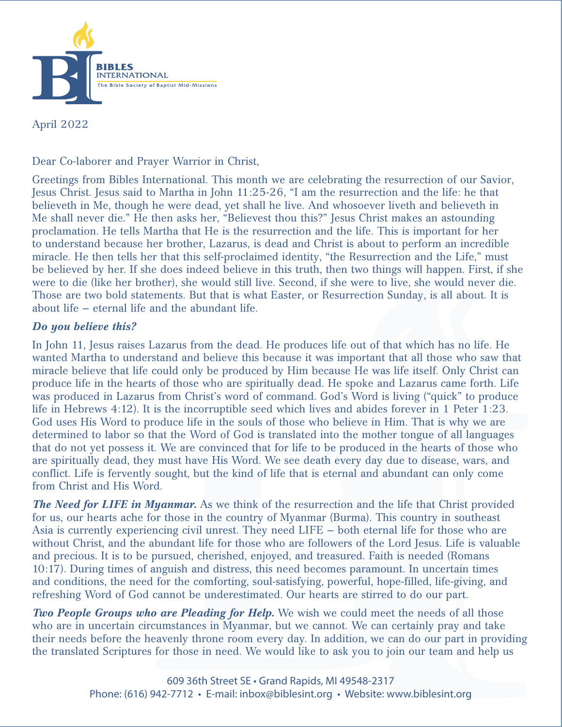

April 2022

Dear Co-laborer and Prayer Warrior in Christ,

Greetings from Bibles International. This month we are celebrating the resurrection of our Savior, Jesus Christ. Jesus said to Martha in John 11:25-26, "I am the resurrection and the life: he that believeth in Me, though he were dead, yet shall he live. And whosoever liveth and believeth in Me shall never die." He then asks her, "Believest thou this?" Jesus Christ makes an astounding proclamation. He tells Martha that He is the resurrection and the life. This is important for her to understand because her brother, Lazarus, is dead and Christ is about to perform an incredible miracle. He then tells her that this self-proclaimed identity, "the Resurrection and the Life," must be believed by her. If she does indeed believe in this truth, then two things will happen. First, if she were to die (like her brother), she would still live. Second, if she were to live, she would never die. Those are two bold statements. But that is what Easter, or Resurrection Sunday, is all about. It is about life – eternal life and the abundant life.

## *Do you believe this?*

In John 11, Jesus raises Lazarus from the dead. He produces life out of that which has no life. He wanted Martha to understand and believe this because it was important that all those who saw that miracle believe that life could only be produced by Him because He was life itself. Only Christ can produce life in the hearts of those who are spiritually dead. He spoke and Lazarus came forth. Life was produced in Lazarus from Christ's word of command. God's Word is living ("quick" to produce life in Hebrews 4:12). It is the incorruptible seed which lives and abides forever in 1 Peter 1:23. God uses His Word to produce life in the souls of those who believe in Him. That is why we are determined to labor so that the Word of God is translated into the mother tongue of all languages that do not yet possess it. We are convinced that for life to be produced in the hearts of those who are spiritually dead, they must have His Word. We see death every day due to disease, wars, and conflict. Life is fervently sought, but the kind of life that is eternal and abundant can only come from Christ and His Word.

*The Need for LIFE in Myanmar.* As we think of the resurrection and the life that Christ provided for us, our hearts ache for those in the country of Myanmar (Burma). This country in southeast Asia is currently experiencing civil unrest. They need LIFE – both eternal life for those who are without Christ, and the abundant life for those who are followers of the Lord Jesus. Life is valuable and precious. It is to be pursued, cherished, enjoyed, and treasured. Faith is needed (Romans 10:17). During times of anguish and distress, this need becomes paramount. In uncertain times and conditions, the need for the comforting, soul-satisfying, powerful, hope-filled, life-giving, and refreshing Word of God cannot be underestimated. Our hearts are stirred to do our part.

*Two People Groups who are Pleading for Help.* We wish we could meet the needs of all those who are in uncertain circumstances in Myanmar, but we cannot. We can certainly pray and take their needs before the heavenly throne room every day. In addition, we can do our part in providing the translated Scriptures for those in need. We would like to ask you to join our team and help us